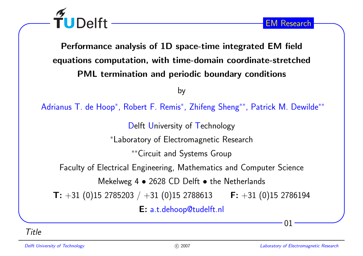TUDelft

Performance analysis of 1D space-time integrated EM fieldequations computation, with time-domain coordinate-stretchedPML termination and periodic boundary conditions

by

Adrianus T. de Hoop<sup>\*</sup>, Robert F. Remis<sup>\*</sup>, Zhifeng Sheng<sup>\*\*</sup>, Patrick M. Dewilde<sup>\*\*</sup>

Delft University of Technology

<sup>∗</sup>Laboratory of Electromagnetic Research

∗∗Circuit and Systems Group

Faculty of Electrical Engineering, Mathematics and Computer Science

Mekelweg 4  $\bullet$  2628 CD Delft  $\bullet$  the Netherlands

 $\textsf{ T: } +31 \; (0)15 \; 2785203 \; / \; +31 \; (0)15 \; 2788613 \qquad \textsf{ F: } +31 \; (0)15 \; 2786194$ 

E: a.t.dehoop@tudelft.nl

Title

01

EM Research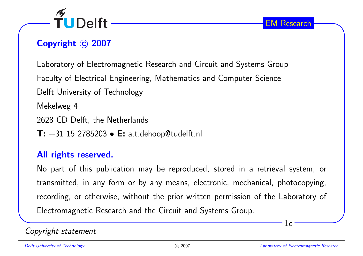

# Copyright © 2007

Laboratory of Electromagnetic Research and Circuit and Systems GroupFaculty of Electrical Engineering, Mathematics and Computer ScienceDelft University of TechnologyMekelweg <sup>4</sup><sup>2628</sup> CD Delft, the Netherlands

 $\textsf{T: +31 15 2785203}\bullet \textsf{E: a.t. dehoop@tudelft.nl}$ 

# All rights reserved.

No part of this publication may be reproduced, stored in <sup>a</sup> retrieval system, ortransmitted, in any form or by any means, electronic, mechanical, <sup>p</sup>hotocopying, recording, or otherwise, without the prior written permission of the Laboratory of Electromagnetic Research and the Circuit and Systems Group.

Copyright statement

1c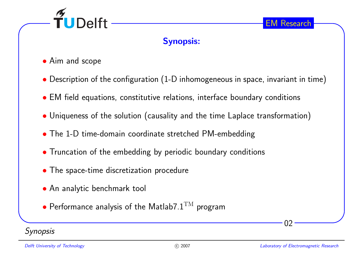

## Synopsis:

- Aim and scope
- $\bullet$  Description of the configuration (1-D inhomogeneous in space, invariant in time)
- EM field equations, constitutive relations, interface boundary conditions
- Uniqueness of the solution (causality and the time Laplace transformation)
- The 1-D time-domain coordinate stretched PM-embedding
- Truncation of the embedding by periodic boundary conditions
- The space-time discretization procedure
- An analytic benchmark tool
- • $\bullet$  Performance analysis of the Matlab7. $1^{\text{TM}}$  program

#### **Synopsis**

02

EM Research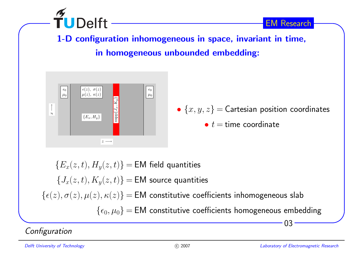

1-D configuration inhomogeneous in space, invariant in time, in homogeneous unbounded embedding:



 $03 \{E_x(z,t), H_y(z,t)\} = \mathsf{EM}$  field quantities  $\{J_x(z,t), K_y(z,t)\} = \mathsf{EM}$  source quantities  $\{\epsilon(z),\sigma(z),\mu(z),\kappa(z)\} = \textsf{EM}$  constitutive coefficients inhomogeneous slab  $\{\epsilon_0,\mu_0\} = \textsf{EM}$  constitutive coefficients homogeneous embedding

**Configuration**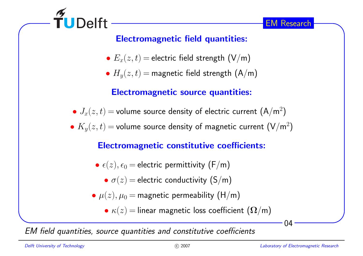

# Electromagnetic field quantities:

- $\bullet \: E_x(z,t) =$  electric field strength  $(\mathsf{V}/\mathsf{m})$
- $\bullet$   $H_{y}(z,t)$   $=$  magnetic field strength  $({\mathsf{A}}/{\mathsf{m}})$

# Electromagnetic source quantities:

- $\bullet$   $J_x(z,t)$   $=$  volume source density of electric current  $\left({\mathsf{A}}/{{\mathsf{m}}^2}\right)$
- $\bullet$   $K_{y}(z,t)$   $=$  volume source density of magnetic current  $(\mathsf{V}/\mathsf{m}^{2})$

# Electromagnetic constitutive coefficients:

- $\bullet\ \epsilon(z), \epsilon_0 =$  electric permittivity  $(\mathsf{F}/\mathsf{m})$ 
	- $\sigma(z)$  = electric conductivity  $(\mathsf{S}/\mathsf{m})$
- $\bullet$   $\mu(z), \mu_0 =$  magnetic permeability  $(\mathsf{H}/\mathsf{m})$ 
	- $\bullet$   $\kappa(z) =$  linear magnetic loss coefficient  $(\mathbf{\Omega}/\mathsf{m})$

EM field quantities, source quantities and constitutive coefficients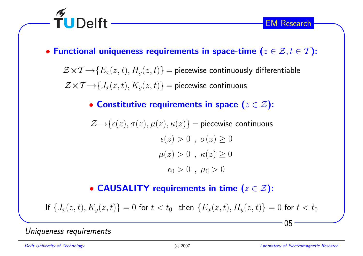



 $\mathcal{Z} \!\times\! \mathcal{T} \!\!\rightarrow\! \{E_x(z,t), H_y(z,t)\}$   $=$  piecewise continuously differentiable  $\mathcal{Z} \!\times\! \mathcal{T} \!\!\rightarrow\! \{J_x(z,t), K_y(z,t)\} =$  piecewise continuous

• Constitutive requirements in space  $(z \in \mathcal{Z})$ :

$$
\mathcal{Z} \rightarrow \{\epsilon(z), \sigma(z), \mu(z), \kappa(z)\} = \text{piecewise continuous}
$$
\n
$$
\epsilon(z) > 0 \ , \ \sigma(z) \ge 0
$$
\n
$$
\mu(z) > 0 \ , \ \kappa(z) \ge 0
$$
\n
$$
\epsilon_0 > 0 \ , \ \mu_0 > 0
$$

• CAUSALITY requirements in time  $(z \in \mathcal{Z})$ :

If  $\{J_x(z,t), K_y(z,t)\} = 0$  for  $t < t_0$  then  $\{E_x(z,t), H_y(z,t)\} = 0$  for  $t < t_0$ 

Uniqueness requirements

 $\widetilde{\mathsf{T}}$ UDelft

Delft University of Technology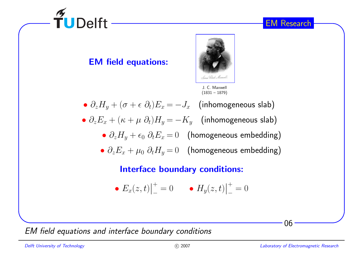06

# EM field equations:



- $\partial_z H_y + (\sigma + \epsilon \; \partial_t) E_x = -J_x \; \; \; \text{(inhomogeneous slab)}$
- $\partial_z E_x + (\kappa + \mu \,\, \partial_t) H_y = K_y \quad$  (inhomogeneous slab)
	- $\partial_z H_y + \epsilon_0 \; \partial_t E_x \!=\! 0 \; \;$  (homogeneous embedding)
	- $\partial_z E_x + \mu_0 \; \partial_t H_y \!=\! 0 \; \;$  (homogeneous embedding)

#### Interface boundary conditions:

• 
$$
E_x(z,t)|_{-}^{+} = 0
$$
  $\bullet$   $H_y(z,t)|_{-}^{+} = 0$ 

EM field equations and interface boundary conditions



EM Research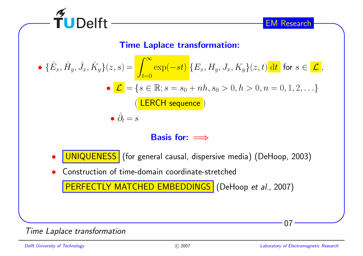

#### Time Laplace transformation:



- • $\bullet$  <code>UNIQUENESS</code> (for general causal, dispersive media) (DeHoop, 2003)
- •Construction of time-domain coordinate-stretched

<mark>PERFECTLY MATCHED EMBEDDINGS</mark> (DeHoop *et al.*, 2007)

Time Laplace transformation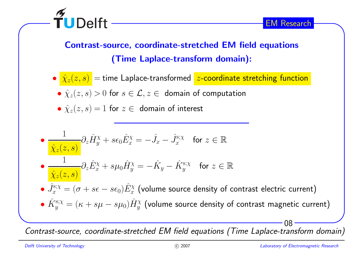

Contrast-source, coordinate-stretched EM field equations(Time Laplace-transform domain):

- $\bullet$   $\hat{\chi}_z(z,s)$   $=$  time <code>Laplace-transformed</code>  $z$ -coordinate stretching function
- $\bullet\ \hat{\chi}_{z}(z,s)>0$  for  $s\in\mathcal{L}, z\in\ \ \textsf{domain of computation}$
- $\hat{\chi}_z(z,s) = 1$  for  $z \in$  domain of interest

\n- \n
$$
\frac{1}{\hat{\chi}_z(z,s)} \partial_z \hat{H}_y^\chi + s \epsilon_0 \hat{E}_x^\chi = -\hat{J}_x - \hat{J}_x^\text{s;} \chi
$$
\n for  $z \in \mathbb{R}$ \n
\n- \n $\frac{1}{\hat{\chi}_z(z,s)} \partial_z \hat{E}_x^\chi + s \mu_0 \hat{H}_y^\chi = -\hat{K}_y - \hat{K}_y^\text{s;} \chi$ \n for  $z \in \mathbb{R}$ \n
\n- \n $\hat{J}_x^\text{s;} \chi = (\sigma + s\epsilon - s\epsilon_0) \hat{E}_x^\chi$ \n (volume source density of contrast electric current)\n
\n- \n $\hat{K}_y^\text{s;} \chi = (\kappa + s\mu - s\mu_0) \hat{H}_y^\chi$ \n (volume source density of contrast magnetic current)\n
\n

Contrast-source, coordinate-stretched EM field equations (Time Laplace-transform domain)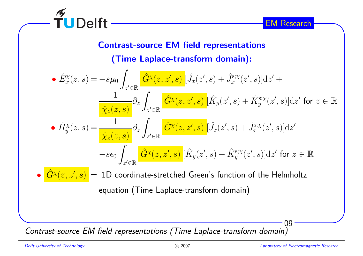

# Contrast-source EM field representations

(Time Laplace-transform domain):

• 
$$
\hat{E}_x^{\chi}(z,s) = -s\mu_0 \int_{z' \in \mathbb{R}} \frac{\hat{G}^{\chi}(z,z',s)}{\hat{X}_z(z,s)} [\hat{J}_x(z',s) + \hat{J}_x^{\text{s};\chi}(z',s)] \,dz' +
$$
\n
$$
\frac{1}{\hat{X}_z(z,s)} \partial_z \int_{z' \in \mathbb{R}} \frac{\hat{G}^{\chi}(z,z',s)}{\hat{X}_z(z,s)} [\hat{K}_y(z',s) + \hat{K}_y^{\text{s};\chi}(z',s)] \,dz' \text{ for } z \in \mathbb{R}
$$
\n• 
$$
\hat{H}_y^{\chi}(z,s) = \frac{1}{\hat{X}_z(z,s)} \partial_z \int_{z' \in \mathbb{R}} \frac{\hat{G}^{\chi}(z,z',s)}{\hat{G}^{\chi}(z,z',s)} [\hat{J}_x(z',s) + \hat{J}_x^{\text{s};\chi}(z',s)] \,dz' \text{ for } z \in \mathbb{R}
$$

 $\bullet \mid \hat{G}$  $\left. G^\chi(z,z',s)\right\, =\,1{\rm D}$  coordinate-stretched Green's function of the Helmholtz equation (Time Laplace-transform domain)

Contrast-source EM field representations (Time Laplace-transform domain)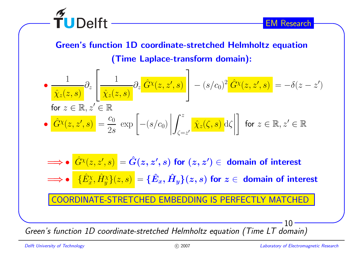

Green's function 1D coordinate-stretched Helmholtz equation

(Time Laplace-transform domain):

$$
\begin{aligned}\n\bullet \frac{1}{\hat{\chi}_z(z,s)} \partial_z \left[ \frac{1}{\hat{\chi}_z(z,s)} \partial_z \frac{\hat{G}^{\chi}(z,z',s)}{\hat{\chi}_z(z,s)} \right] - (s/c_0)^2 \hat{G}^{\chi}(z,z',s) = -\delta(z-z') \\
\text{for } z \in \mathbb{R}, z' \in \mathbb{R} \\
\bullet \left. \frac{\hat{G}^{\chi}(z,z',s)}{\hat{G}^{\chi}(z,z',s)} \right| = \frac{c_0}{2s} \exp \left[ - (s/c_0) \left| \int_{\zeta=z'}^z \hat{\chi}_z(\zeta,s) \, \mathrm{d}\zeta \right| \right] \text{ for } z \in \mathbb{R}, z' \in \mathbb{R}\n\end{aligned}
$$

 $\Longrightarrow \bullet$   $\frac{\hat{G}}{4}$  $\left.\hat{G}^{\chi}(z,z',s)\right.=\hat{G}(z,z',s)$  for  $(z,z')\in$  domain of interest  $\Longrightarrow \bullet \quad \{\hat{E}$  $\frac{\partial X}{\partial x}, \hat{H}$  $\big\{\chi_y^{\chi}\big\}(z,s)\big\} = \big\{\hat E$  $\hat{E}_x,\hat{H}$  $\{H_y\}(z, s)$  for  $z \in$  domain of interest DINATE-STRETCHED EMBEDDING IS PERFECTLY MATCHED

Green's function 1D coordinate-stretched Helmholtz equation (Time LT domain)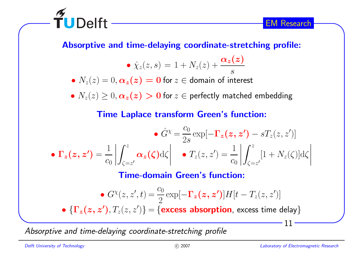

TUDelft

Absorptive and time-delaying coordinate-stretching profile:

$$
\bullet \hat{\chi}_z(z,s) = 1 + N_z(z) + \frac{\alpha_z(z)}{s}
$$

 $\bullet$   $N_z(z) = 0,$   $\boldsymbol{\alpha_z(z)} = \boldsymbol{0}$  for  $z \in$  domain of interest

 $\bullet$   $N_z(z) \geq 0,$   $\boldsymbol{\alpha_z(z)} > \boldsymbol{0}$  for  $z \in$  perfectly matched embedding

# Time Laplace transform Green's function:

$$
\bullet \hat{G}^{\chi} = \frac{c_0}{2s} \exp[-\mathbf{\Gamma}_{z}(\mathbf{z}, \mathbf{z}') - sT_{z}(z, z')] \bullet \mathbf{\Gamma}_{z}(\mathbf{z}, \mathbf{z}') = \frac{1}{c_0} \left| \int_{\zeta=z'}^{z} \alpha_{z}(\zeta) d\zeta \right| \quad \bullet T_{z}(z, z') = \frac{1}{c_0} \left| \int_{\zeta=z'}^{z} [1 + N_{z}(\zeta)] d\zeta \right|
$$

Time-domain Green's function:

$$
\bullet \; G^{\chi}(z, z', t) = \frac{c_0}{2} \exp[-\mathbf{\Gamma}_z(z, z')] H[t - T_z(z, z')]
$$

•  $\{\mathbf \Gamma_{\bm z}(\bm z,\bm z'),T_{\bm z}(z,z')\}$  = {excess absorption, excess time delay}

Absorptive and time-delaying coordinate-stretching profile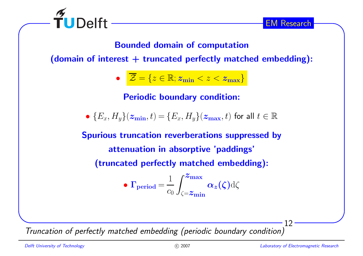

Bounded domain of computation

(domain of interest  $+$  truncated perfectly matched embedding):

 $\bullet \quad \mathcal{Z} = \{z \in \mathbb{R}; z_{\min} < z < z_{\max}\}$ 

Periodic boundary condition:

 $\bullet \, \{E_x, H_y\}(\boldsymbol{z_{\min}}, t) = \{E_x, H_y\}(\boldsymbol{z_{\max}}, t)$  for all  $t \in \mathbb{R}$ 

Spurious truncation reverberations suppressed byattenuation in absorptive 'paddings' (truncated perfectly matched embedding):

• 
$$
\Gamma_{\text{period}} = \frac{1}{c_0} \int_{\zeta = z_{\text{min}}}^{z_{\text{max}}} \alpha_z(\zeta) d\zeta
$$

Truncation of perfectly matched embedding (periodic boundary condition)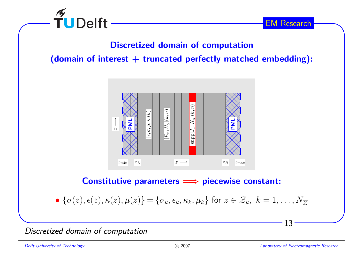

# Discretized domain of computation

(domain of interest  $+$  truncated perfectly matched embedding):



# $\textsf{Constructive parameters} \Longrightarrow \textsf{piecewise constant:}$

•  ${\{\sigma(z), \epsilon(z), \kappa(z), \mu(z)\}} = {\{\sigma_k, \epsilon_k, \kappa_k, \mu_k\}}$  for  $z \in \mathcal{Z}_k, k = 1, \ldots, N_{\mathbb{Z}}$ 

Discretized domain of computation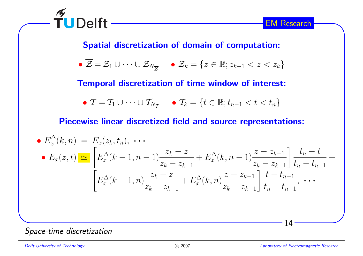

Spatial discretization of domain of computation:

$$
\bullet \ \overline{\mathcal{Z}} = \mathcal{Z}_1 \cup \cdots \cup \mathcal{Z}_{N_{\overline{\mathcal{Z}}}} \qquad \bullet \ \mathcal{Z}_k = \{ z \in \mathbb{R}; z_{k-1} < z < z_k \}
$$

Temporal discretization of time window of interest:

$$
\bullet \ \mathcal{T} = \mathcal{T}_1 \cup \cdots \cup \mathcal{T}_{N_{\mathcal{T}}} \qquad \bullet \ \mathcal{T}_k = \{t \in \mathbb{R}; t_{n-1} < t < t_n\}
$$

Piecewise linear discretized field and source representations:

• 
$$
E_x^{\Delta}(k, n) = E_x(z_k, t_n), \cdots
$$
  
\n•  $E_x(z, t) \simeq \left[ E_x^{\Delta}(k - 1, n - 1) \frac{z_k - z}{z_k - z_{k-1}} + E_x^{\Delta}(k, n - 1) \frac{z - z_{k-1}}{z_k - z_{k-1}} \right] \frac{t_n - t}{t_n - t_{n-1}} +$   
\n
$$
\left[ E_x^{\Delta}(k - 1, n) \frac{z_k - z}{z_k - z_{k-1}} + E_x^{\Delta}(k, n) \frac{z - z_{k-1}}{z_k - z_{k-1}} \right] \frac{t - t_{n-1}}{t_n - t_{n-1}}, \cdots
$$

#### Space-time discretization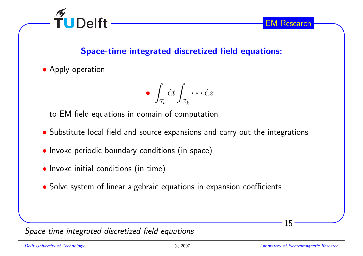

# Space-time integrated discretized field equations:

• Apply operation

$$
\bullet \int_{\mathcal{T}_n} \mathrm{d} t \int_{\mathcal{Z}_k} \cdots \mathrm{d} z
$$

to EM field equations in domain of computation

- Substitute local field and source expansions and carry out the integrations
- Invoke periodic boundary conditions (in space)
- Invoke initial conditions (in time)
- Solve system of linear algebraic equations in expansion coefficients

Space-time integrated discretized field equations

15

EM Research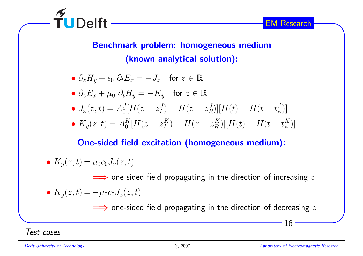

Benchmark problem: homogeneous medium(known analytical solution):

- $\partial_z H_y + \epsilon_0 \partial_t E_x = -J_x$  for  $z \in \mathbb{R}$
- $\partial_z E_x + \mu_0 \partial_t H_y = -K_y$  for  $z \in \mathbb{R}$
- $J_x(z, t) = A_0^J [H(z z_L^J) H(z z_R^J)] [H(t) H(t t_w^J)]$
- $K_y(z, t) = A_0^K[H(z z_L^K) H(z z_R^K)][H(t) H(t t_w^K)]$

# One-sided field excitation (homogeneous medium):

• 
$$
K_y(z,t) = \mu_0 c_0 J_x(z,t)
$$

 $\implies$  one-sided field propagating in the direction of increasing  $z$ 

• 
$$
K_y(z,t) = -\mu_0 c_0 J_x(z,t)
$$

 $\implies$  one-sided field propagating in the direction of decreasing  $z$ 

Test cases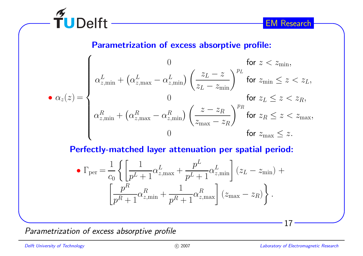

Parametrization of excess absorptive profile:

$$
\bullet \alpha_z(z) = \begin{cases}\n0 & \text{for } z < z_{\min}, \\
\alpha_{z,\min}^L + (\alpha_{z,\max}^L - \alpha_{z,\min}^L) \left(\frac{z_L - z}{z_L - z_{\min}}\right)^{p_L} & \text{for } z_{\min} \le z < z_L, \\
0 & \text{for } z_L \le z < z_R, \\
\alpha_{z,\min}^R + (\alpha_{z,\max}^R - \alpha_{z,\min}^R) \left(\frac{z - z_R}{z_{\max} - z_R}\right)^{p_R} & \text{for } z_R \le z < z_{\max}, \\
0 & \text{for } z_{\max} \le z.\n\end{cases}
$$

Perfectly-matched layer attenuation per spatial period:

$$
\bullet \Gamma_{\text{per}} = \frac{1}{c_0} \left\{ \left[ \frac{1}{p^L + 1} \alpha_{z,\text{max}}^L + \frac{p^L}{p^L + 1} \alpha_{z,\text{min}}^L \right] (z_L - z_{\text{min}}) + \left[ \frac{p^R}{p^R + 1} \alpha_{z,\text{min}}^R + \frac{1}{p^R + 1} \alpha_{z,\text{max}}^R \right] (z_{\text{max}} - z_R) \right\}.
$$

Parametrization of excess absorptive profile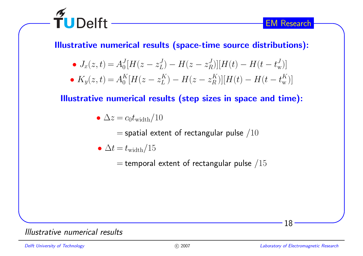

Illustrative numerical results (space-time source distributions):

- $J_x(z, t) = A_0^J [H(z z_L^J) H(z z_R^J)] [H(t) H(t t_w^J)]$
- $K_y(z, t) = A_0^K[H(z z_L^K) H(z z_R^K)][H(t) H(t t_w^K)]$

Illustrative numerical results (step sizes in space and time):

$$
\bullet \ \Delta z = c_0 t_{\rm width}/10
$$

= $=$  spatial extent of rectangular pulse  $/10$ 

$$
\bullet \ \Delta t = t_{\rm width}/15
$$

= $=$  temporal extent of rectangular pulse  $/15$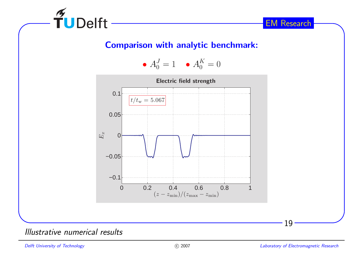••  $A_0^J = 1$  •  $A_0^K = 0$ 



#### Illustrative numerical results

 $\widetilde{\mathsf{T}}$ UDelft

Delft University of Technology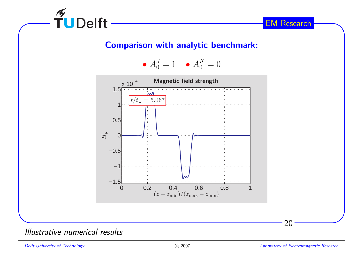••  $A_0^J = 1$  •  $A_0^K = 0$ 



#### Illustrative numerical results

 $\widetilde{\mathbf{T}}$ UDelft

Delft University of Technology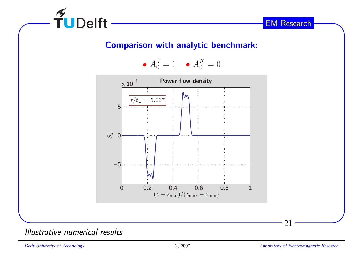••  $A_0^J = 1$  •  $A_0^K = 0$ 



#### Illustrative numerical results

FUDelft

Delft University of Technology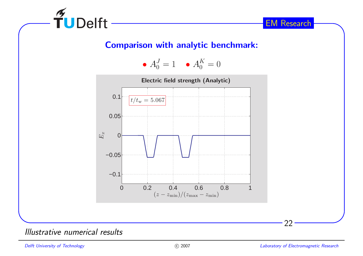••  $A_0^J = 1$  •  $A_0^K = 0$ 



#### Illustrative numerical results

 $\widetilde{\mathsf{T}}$ UDelft

Delft University of Technology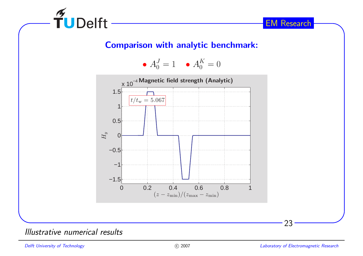••  $A_0^J = 1$  •  $A_0^K = 0$ 



#### Illustrative numerical results

 $\widetilde{\mathbf{T}}$ UDelft

Delft University of Technology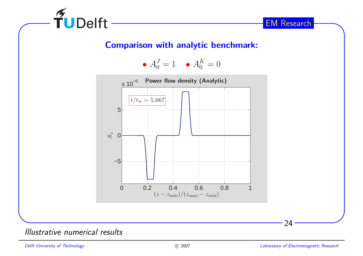••  $A_0^J = 1$  •  $A_0^K = 0$ 



#### Illustrative numerical results

 $\widetilde{\mathsf{T}}$ UDelft

Delft University of Technology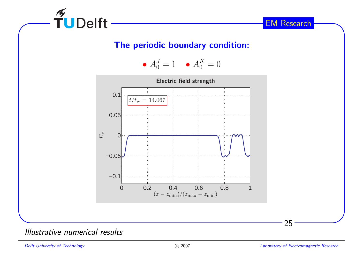

#### The periodic boundary condition:

••  $A_0^J = 1$  •  $A_0^K = 0$ 



Illustrative numerical results

Delft University of Technology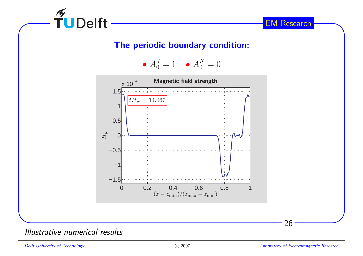

#### The periodic boundary condition:

••  $A_0^J = 1$  •  $A_0^K = 0$ 



Illustrative numerical results

Delft University of Technology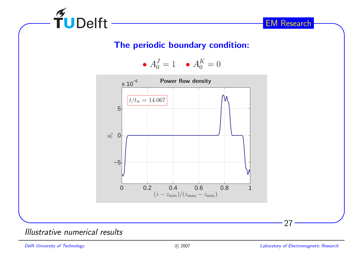

#### The periodic boundary condition:

••  $A_0^J = 1$  •  $A_0^K = 0$ 



#### Illustrative numerical results

Delft University of Technology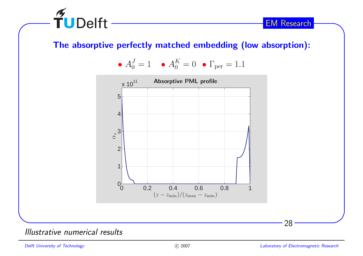

## The absorptive perfectly matched embedding (low absorption):

• 
$$
A_0^J = 1
$$
 •  $A_0^K = 0$  •  $\Gamma_{\text{per}} = 1.1$ 



#### Illustrative numerical results

Delft University of Technology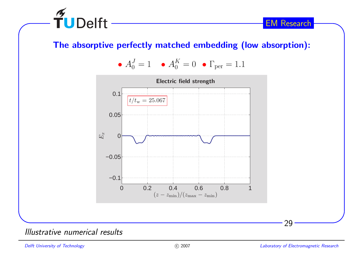

## The absorptive perfectly matched embedding (low absorption):

• 
$$
A_0^J = 1
$$
 •  $A_0^K = 0$  •  $\Gamma_{\text{per}} = 1.1$ 



Illustrative numerical results

Delft University of Technology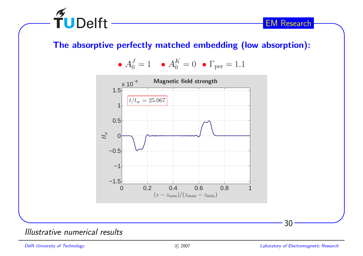

## The absorptive perfectly matched embedding (low absorption):

• 
$$
A_0^J = 1
$$
 •  $A_0^K = 0$  •  $\Gamma_{\text{per}} = 1.1$ 



#### Illustrative numerical results

Delft University of Technology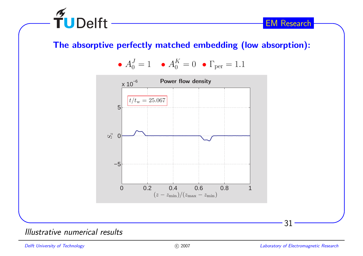

## The absorptive perfectly matched embedding (low absorption):

• 
$$
A_0^J = 1
$$
 •  $A_0^K = 0$  •  $\Gamma_{\text{per}} = 1.1$ 



#### Illustrative numerical results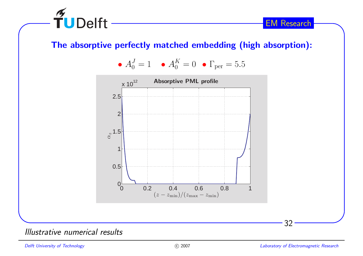

## The absorptive perfectly matched embedding (high absorption):

• 
$$
A_0^J = 1
$$
 •  $A_0^K = 0$  •  $\Gamma_{\text{per}} = 5.5$ 



#### Illustrative numerical results

Delft University of Technology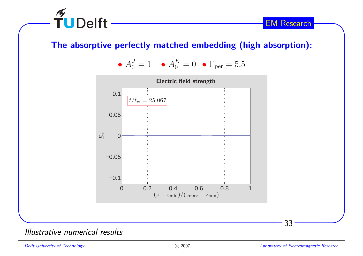

## The absorptive perfectly matched embedding (high absorption):

• 
$$
A_0^J = 1
$$
 •  $A_0^K = 0$  •  $\Gamma_{\text{per}} = 5.5$ 



#### Illustrative numerical results

Delft University of Technology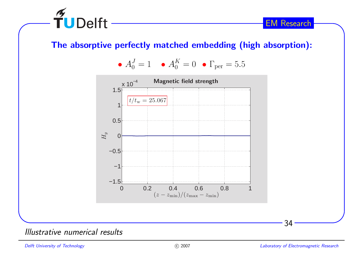

## The absorptive perfectly matched embedding (high absorption):

• 
$$
A_0^J = 1
$$
 •  $A_0^K = 0$  •  $\Gamma_{\text{per}} = 5.5$ 



#### Illustrative numerical results

Delft University of Technology